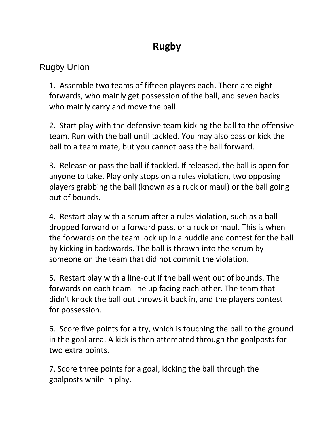## **Rugby**

## Rugby Union

1. Assemble two teams of fifteen players each. There are eight forwards, who mainly get possession of the ball, and seven backs who mainly carry and move the ball.

2. Start play with the defensive team kicking the ball to the offensive team. Run with the ball until tackled. You may also pass or kick the ball to a team mate, but you cannot pass the ball forward.

3. Release or pass the ball if tackled. If released, the ball is open for anyone to take. Play only stops on a rules violation, two opposing players grabbing the ball (known as a ruck or maul) or the ball going out of bounds.

4. Restart play with a scrum after a rules violation, such as a ball dropped forward or a forward pass, or a ruck or maul. This is when the forwards on the team lock up in a huddle and contest for the ball by kicking in backwards. The ball is thrown into the scrum by someone on the team that did not commit the violation.

5. Restart play with a line-out if the ball went out of bounds. The forwards on each team line up facing each other. The team that didn't knock the ball out throws it back in, and the players contest for possession.

6. Score five points for a try, which is touching the ball to the ground in the goal area. A kick is then attempted through the goalposts for two extra points.

7. Score three points for a goal, kicking the ball through the goalposts while in play.